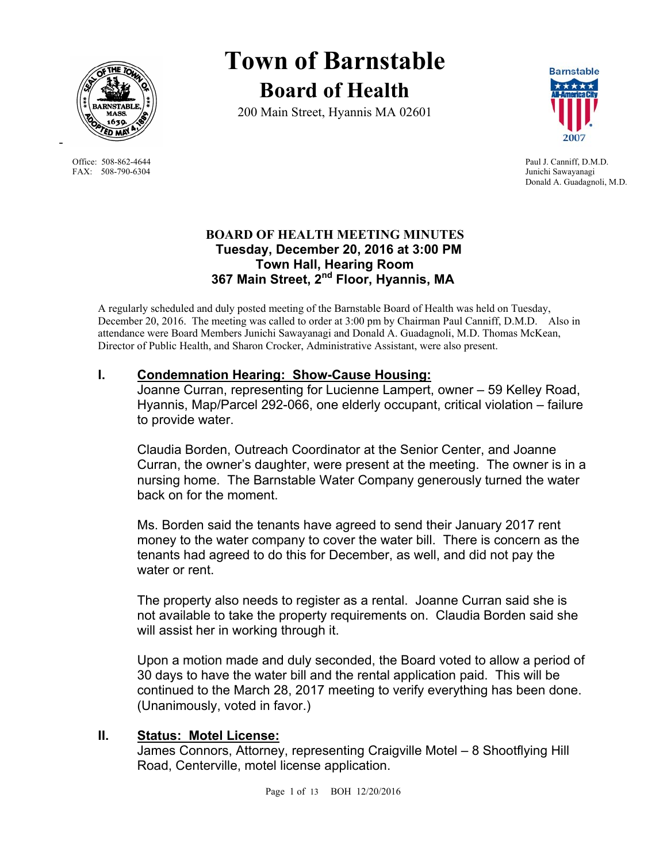

FAX: 508-790-6304 Junichi Sawayanagi

-

# **Town of Barnstable Board of Health**

200 Main Street, Hyannis MA 02601



Office: 508-862-4644 Paul J. Canniff, D.M.D. Donald A. Guadagnoli, M.D.

## **BOARD OF HEALTH MEETING MINUTES Tuesday, December 20, 2016 at 3:00 PM Town Hall, Hearing Room 367 Main Street, 2nd Floor, Hyannis, MA**

A regularly scheduled and duly posted meeting of the Barnstable Board of Health was held on Tuesday, December 20, 2016. The meeting was called to order at 3:00 pm by Chairman Paul Canniff, D.M.D. Also in attendance were Board Members Junichi Sawayanagi and Donald A. Guadagnoli, M.D. Thomas McKean, Director of Public Health, and Sharon Crocker, Administrative Assistant, were also present.

## **I. Condemnation Hearing: Show-Cause Housing:**

Joanne Curran, representing for Lucienne Lampert, owner – 59 Kelley Road, Hyannis, Map/Parcel 292-066, one elderly occupant, critical violation – failure to provide water.

Claudia Borden, Outreach Coordinator at the Senior Center, and Joanne Curran, the owner's daughter, were present at the meeting. The owner is in a nursing home. The Barnstable Water Company generously turned the water back on for the moment.

Ms. Borden said the tenants have agreed to send their January 2017 rent money to the water company to cover the water bill. There is concern as the tenants had agreed to do this for December, as well, and did not pay the water or rent.

The property also needs to register as a rental. Joanne Curran said she is not available to take the property requirements on. Claudia Borden said she will assist her in working through it.

Upon a motion made and duly seconded, the Board voted to allow a period of 30 days to have the water bill and the rental application paid. This will be continued to the March 28, 2017 meeting to verify everything has been done. (Unanimously, voted in favor.)

## **II. Status: Motel License:**

James Connors, Attorney, representing Craigville Motel – 8 Shootflying Hill Road, Centerville, motel license application.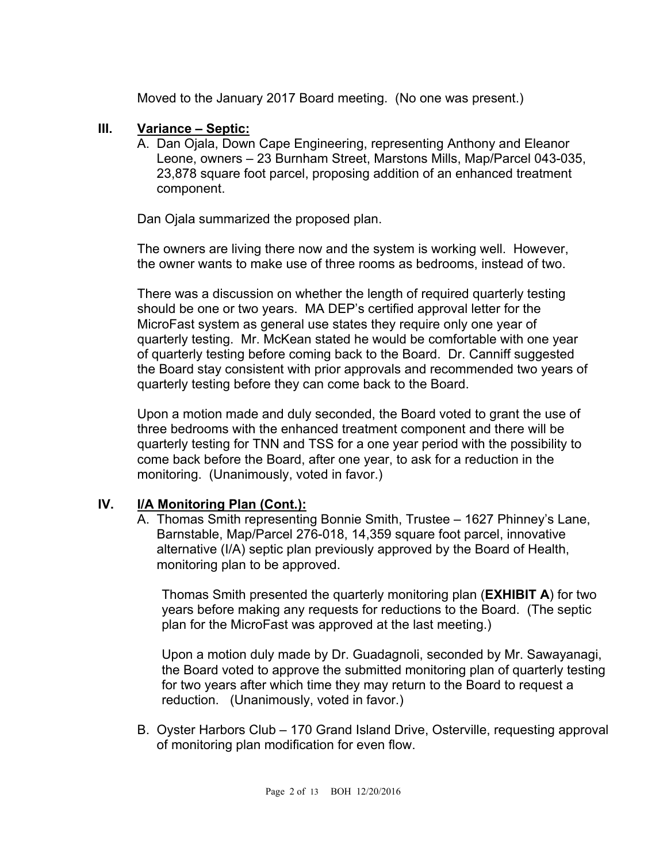Moved to the January 2017 Board meeting. (No one was present.)

#### **III. Variance – Septic:**

A. Dan Ojala, Down Cape Engineering, representing Anthony and Eleanor Leone, owners – 23 Burnham Street, Marstons Mills, Map/Parcel 043-035, 23,878 square foot parcel, proposing addition of an enhanced treatment component.

Dan Ojala summarized the proposed plan.

 The owners are living there now and the system is working well. However, the owner wants to make use of three rooms as bedrooms, instead of two.

 There was a discussion on whether the length of required quarterly testing should be one or two years. MA DEP's certified approval letter for the MicroFast system as general use states they require only one year of quarterly testing. Mr. McKean stated he would be comfortable with one year of quarterly testing before coming back to the Board. Dr. Canniff suggested the Board stay consistent with prior approvals and recommended two years of quarterly testing before they can come back to the Board.

 Upon a motion made and duly seconded, the Board voted to grant the use of three bedrooms with the enhanced treatment component and there will be quarterly testing for TNN and TSS for a one year period with the possibility to come back before the Board, after one year, to ask for a reduction in the monitoring. (Unanimously, voted in favor.)

## **IV. I/A Monitoring Plan (Cont.):**

A. Thomas Smith representing Bonnie Smith, Trustee – 1627 Phinney's Lane, Barnstable, Map/Parcel 276-018, 14,359 square foot parcel, innovative alternative (I/A) septic plan previously approved by the Board of Health, monitoring plan to be approved.

Thomas Smith presented the quarterly monitoring plan (**EXHIBIT A**) for two years before making any requests for reductions to the Board. (The septic plan for the MicroFast was approved at the last meeting.)

Upon a motion duly made by Dr. Guadagnoli, seconded by Mr. Sawayanagi, the Board voted to approve the submitted monitoring plan of quarterly testing for two years after which time they may return to the Board to request a reduction. (Unanimously, voted in favor.)

B. Oyster Harbors Club – 170 Grand Island Drive, Osterville, requesting approval of monitoring plan modification for even flow.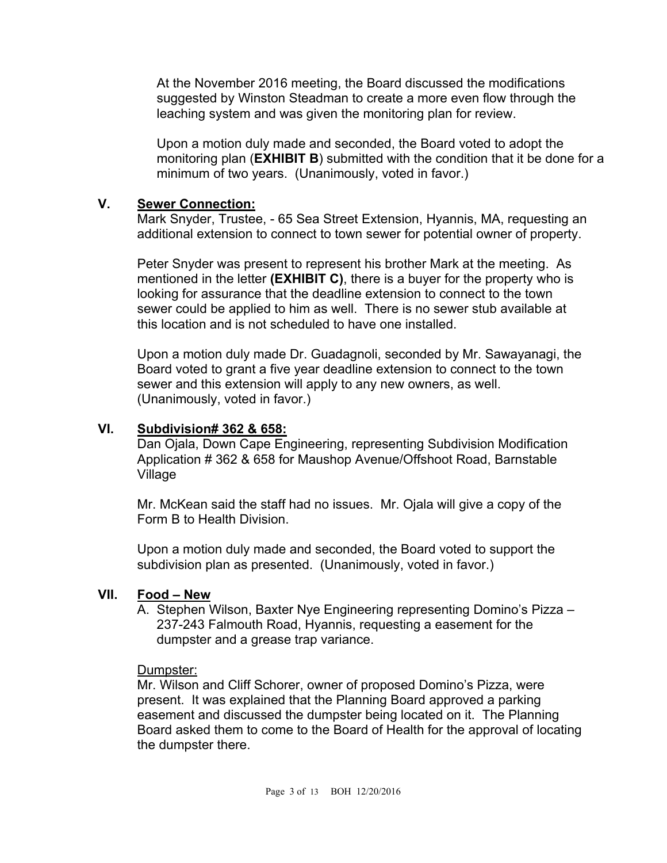At the November 2016 meeting, the Board discussed the modifications suggested by Winston Steadman to create a more even flow through the leaching system and was given the monitoring plan for review.

Upon a motion duly made and seconded, the Board voted to adopt the monitoring plan (**EXHIBIT B**) submitted with the condition that it be done for a minimum of two years. (Unanimously, voted in favor.)

#### **V. Sewer Connection:**

 Mark Snyder, Trustee, - 65 Sea Street Extension, Hyannis, MA, requesting an additional extension to connect to town sewer for potential owner of property.

Peter Snyder was present to represent his brother Mark at the meeting. As mentioned in the letter **(EXHIBIT C)**, there is a buyer for the property who is looking for assurance that the deadline extension to connect to the town sewer could be applied to him as well. There is no sewer stub available at this location and is not scheduled to have one installed.

Upon a motion duly made Dr. Guadagnoli, seconded by Mr. Sawayanagi, the Board voted to grant a five year deadline extension to connect to the town sewer and this extension will apply to any new owners, as well. (Unanimously, voted in favor.)

#### **VI. Subdivision# 362 & 658:**

Dan Ojala, Down Cape Engineering, representing Subdivision Modification Application # 362 & 658 for Maushop Avenue/Offshoot Road, Barnstable Village

Mr. McKean said the staff had no issues. Mr. Ojala will give a copy of the Form B to Health Division.

Upon a motion duly made and seconded, the Board voted to support the subdivision plan as presented. (Unanimously, voted in favor.)

#### **VII. Food – New**

A. Stephen Wilson, Baxter Nye Engineering representing Domino's Pizza – 237-243 Falmouth Road, Hyannis, requesting a easement for the dumpster and a grease trap variance.

Dumpster:

Mr. Wilson and Cliff Schorer, owner of proposed Domino's Pizza, were present. It was explained that the Planning Board approved a parking easement and discussed the dumpster being located on it. The Planning Board asked them to come to the Board of Health for the approval of locating the dumpster there.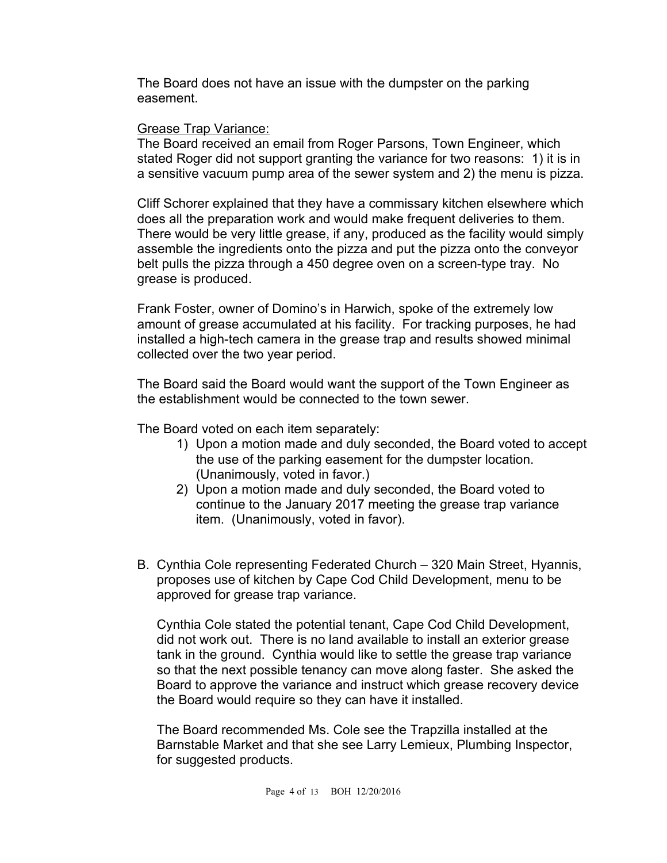The Board does not have an issue with the dumpster on the parking easement.

#### Grease Trap Variance:

The Board received an email from Roger Parsons, Town Engineer, which stated Roger did not support granting the variance for two reasons: 1) it is in a sensitive vacuum pump area of the sewer system and 2) the menu is pizza.

Cliff Schorer explained that they have a commissary kitchen elsewhere which does all the preparation work and would make frequent deliveries to them. There would be very little grease, if any, produced as the facility would simply assemble the ingredients onto the pizza and put the pizza onto the conveyor belt pulls the pizza through a 450 degree oven on a screen-type tray. No grease is produced.

Frank Foster, owner of Domino's in Harwich, spoke of the extremely low amount of grease accumulated at his facility. For tracking purposes, he had installed a high-tech camera in the grease trap and results showed minimal collected over the two year period.

The Board said the Board would want the support of the Town Engineer as the establishment would be connected to the town sewer.

The Board voted on each item separately:

- 1) Upon a motion made and duly seconded, the Board voted to accept the use of the parking easement for the dumpster location. (Unanimously, voted in favor.)
- 2) Upon a motion made and duly seconded, the Board voted to continue to the January 2017 meeting the grease trap variance item. (Unanimously, voted in favor).
- B. Cynthia Cole representing Federated Church 320 Main Street, Hyannis, proposes use of kitchen by Cape Cod Child Development, menu to be approved for grease trap variance.

Cynthia Cole stated the potential tenant, Cape Cod Child Development, did not work out. There is no land available to install an exterior grease tank in the ground. Cynthia would like to settle the grease trap variance so that the next possible tenancy can move along faster. She asked the Board to approve the variance and instruct which grease recovery device the Board would require so they can have it installed.

The Board recommended Ms. Cole see the Trapzilla installed at the Barnstable Market and that she see Larry Lemieux, Plumbing Inspector, for suggested products.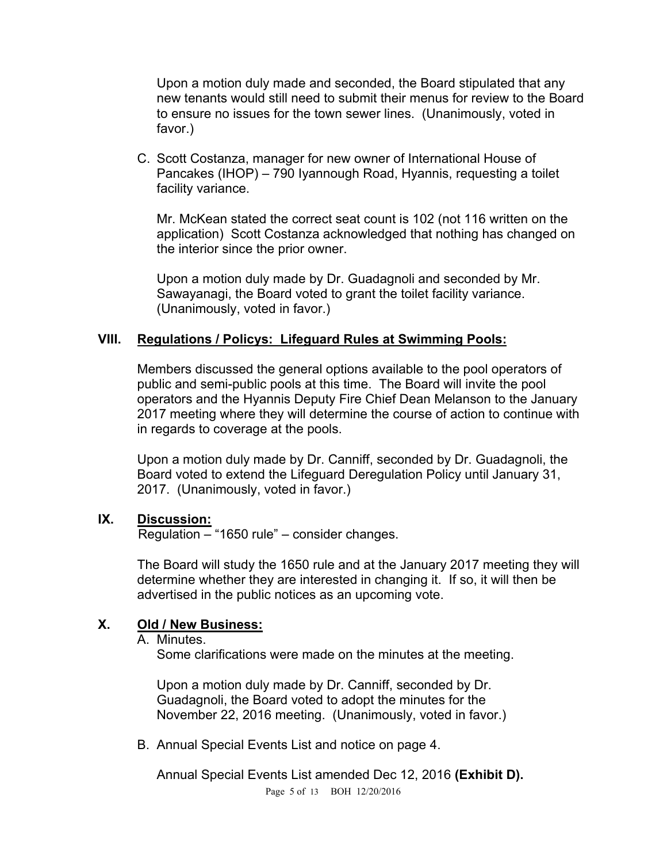Upon a motion duly made and seconded, the Board stipulated that any new tenants would still need to submit their menus for review to the Board to ensure no issues for the town sewer lines. (Unanimously, voted in favor.)

C. Scott Costanza, manager for new owner of International House of Pancakes (IHOP) – 790 Iyannough Road, Hyannis, requesting a toilet facility variance.

Mr. McKean stated the correct seat count is 102 (not 116 written on the application) Scott Costanza acknowledged that nothing has changed on the interior since the prior owner.

Upon a motion duly made by Dr. Guadagnoli and seconded by Mr. Sawayanagi, the Board voted to grant the toilet facility variance. (Unanimously, voted in favor.)

#### **VIII. Regulations / Policys: Lifeguard Rules at Swimming Pools:**

Members discussed the general options available to the pool operators of public and semi-public pools at this time. The Board will invite the pool operators and the Hyannis Deputy Fire Chief Dean Melanson to the January 2017 meeting where they will determine the course of action to continue with in regards to coverage at the pools.

Upon a motion duly made by Dr. Canniff, seconded by Dr. Guadagnoli, the Board voted to extend the Lifeguard Deregulation Policy until January 31, 2017. (Unanimously, voted in favor.)

#### **IX. Discussion:**

Regulation – "1650 rule" – consider changes.

The Board will study the 1650 rule and at the January 2017 meeting they will determine whether they are interested in changing it. If so, it will then be advertised in the public notices as an upcoming vote.

#### **X. Old / New Business:**

A. Minutes.

Some clarifications were made on the minutes at the meeting.

Upon a motion duly made by Dr. Canniff, seconded by Dr. Guadagnoli, the Board voted to adopt the minutes for the November 22, 2016 meeting. (Unanimously, voted in favor.)

B. Annual Special Events List and notice on page 4.

Annual Special Events List amended Dec 12, 2016 **(Exhibit D).**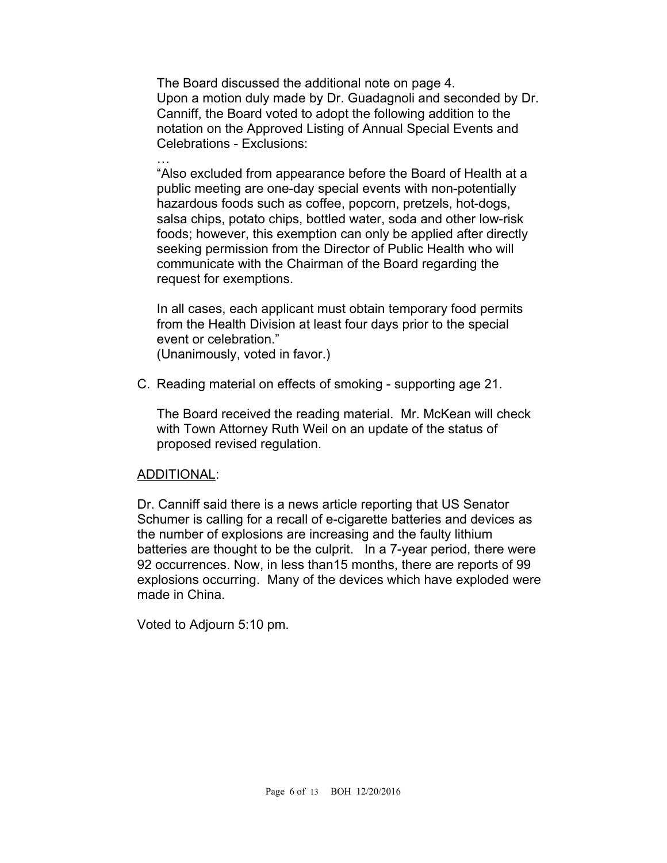The Board discussed the additional note on page 4. Upon a motion duly made by Dr. Guadagnoli and seconded by Dr. Canniff, the Board voted to adopt the following addition to the notation on the Approved Listing of Annual Special Events and Celebrations - Exclusions:

… "Also excluded from appearance before the Board of Health at a public meeting are one-day special events with non-potentially hazardous foods such as coffee, popcorn, pretzels, hot-dogs, salsa chips, potato chips, bottled water, soda and other low-risk foods; however, this exemption can only be applied after directly seeking permission from the Director of Public Health who will communicate with the Chairman of the Board regarding the request for exemptions.

In all cases, each applicant must obtain temporary food permits from the Health Division at least four days prior to the special event or celebration." (Unanimously, voted in favor.)

C. Reading material on effects of smoking - supporting age 21.

The Board received the reading material. Mr. McKean will check with Town Attorney Ruth Weil on an update of the status of proposed revised regulation.

#### ADDITIONAL:

Dr. Canniff said there is a news article reporting that US Senator Schumer is calling for a recall of e-cigarette batteries and devices as the number of explosions are increasing and the faulty lithium batteries are thought to be the culprit. In a 7-year period, there were 92 occurrences. Now, in less than15 months, there are reports of 99 explosions occurring. Many of the devices which have exploded were made in China.

Voted to Adjourn 5:10 pm.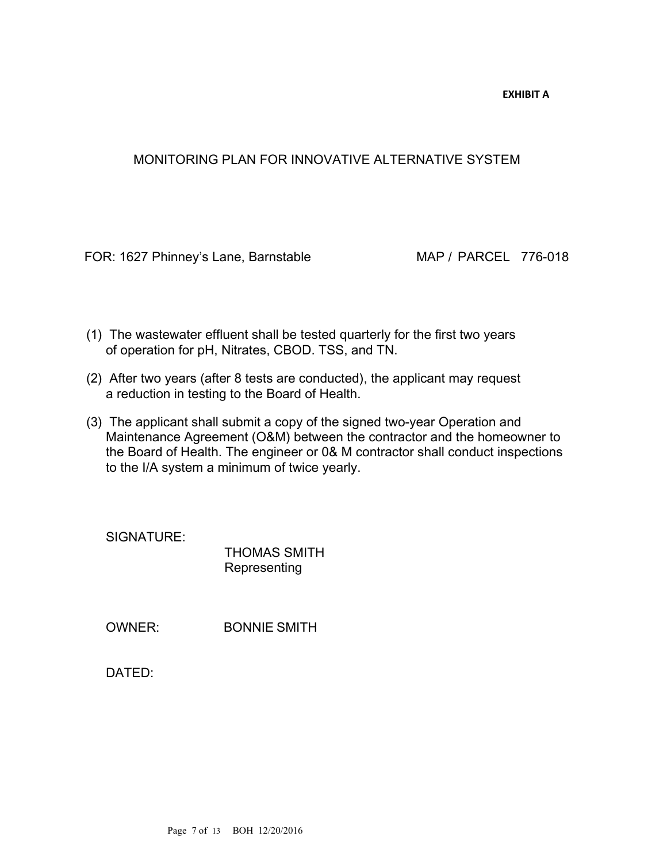**EXHIBIT A**

#### MONITORING PLAN FOR INNOVATIVE ALTERNATIVE SYSTEM

FOR: 1627 Phinney's Lane, Barnstable MAP / PARCEL 776-018

- (1) The wastewater effluent shall be tested quarterly for the first two years of operation for pH, Nitrates, CBOD. TSS, and TN.
- (2) After two years (after 8 tests are conducted), the applicant may request a reduction in testing to the Board of Health.
- (3) The applicant shall submit a copy of the signed two-year Operation and Maintenance Agreement (O&M) between the contractor and the homeowner to the Board of Health. The engineer or 0& M contractor shall conduct inspections to the I/A system a minimum of twice yearly.

SIGNATURE:

THOMAS SMITH Representing

OWNER: BONNIE SMITH

DATED: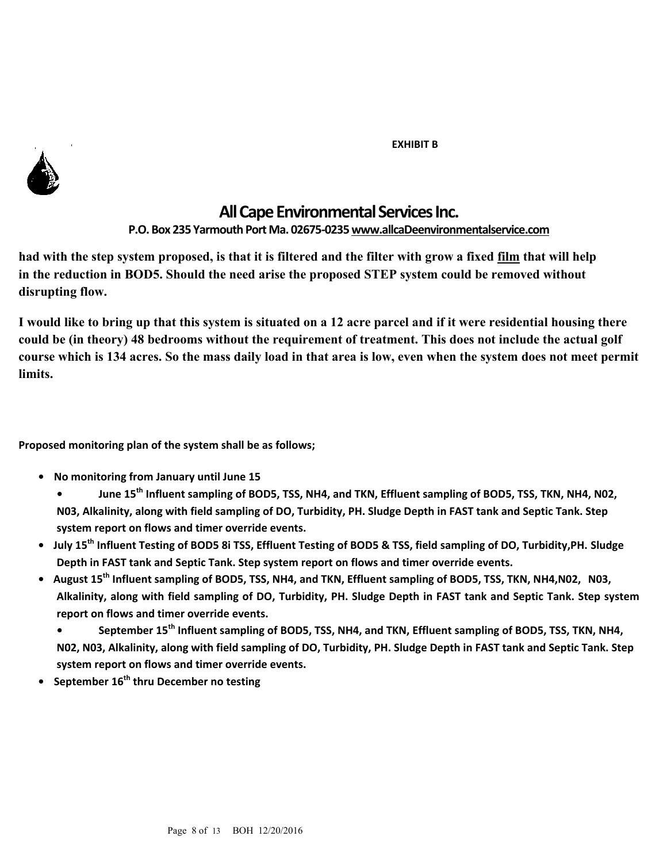#### **EXHIBIT B**



## **All Cape Environmental Services Inc.**

**P.O. Box 235 Yarmouth Port Ma. 02675-0235 www.allcaDeenvironmentalservice.com** 

**had with the step system proposed, is that it is filtered and the filter with grow a fixed film that will help in the reduction in BOD5. Should the need arise the proposed STEP system could be removed without disrupting flow.** 

**I would like to bring up that this system is situated on a 12 acre parcel and if it were residential housing there could be (in theory) 48 bedrooms without the requirement of treatment. This does not include the actual golf course which is 134 acres. So the mass daily load in that area is low, even when the system does not meet permit limits.** 

**Proposed monitoring plan of the system shall be as follows;**

- **• No monitoring from January until June 15** 
	- **June 15th Influent sampling of BOD5, TSS, NH4, and TKN, Effluent sampling of BOD5, TSS, TKN, NH4, N02, N03, Alkalinity, along with field sampling of DO, Turbidity, PH. Sludge Depth in FAST tank and Septic Tank. Step system report on flows and timer override events.**
- **• July 15th Influent Testing of BOD5 8i TSS, Effluent Testing of BOD5 & TSS, field sampling of DO, Turbidity,PH. Sludge Depth in FAST tank and Septic Tank. Step system report on flows and timer override events.**
- **• August 15th Influent sampling of BOD5, TSS, NH4, and TKN, Effluent sampling of BOD5, TSS, TKN, NH4,N02, N03, Alkalinity, along with field sampling of DO, Turbidity, PH. Sludge Depth in FAST tank and Septic Tank. Step system report on flows and timer override events.** 
	- **September 15th Influent sampling of BOD5, TSS, NH4, and TKN, Effluent sampling of BOD5, TSS, TKN, NH4, N02, N03, Alkalinity, along with field sampling of DO, Turbidity, PH. Sludge Depth in FAST tank and Septic Tank. Step system report on flows and timer override events.**
- **• September 16th thru December no testing**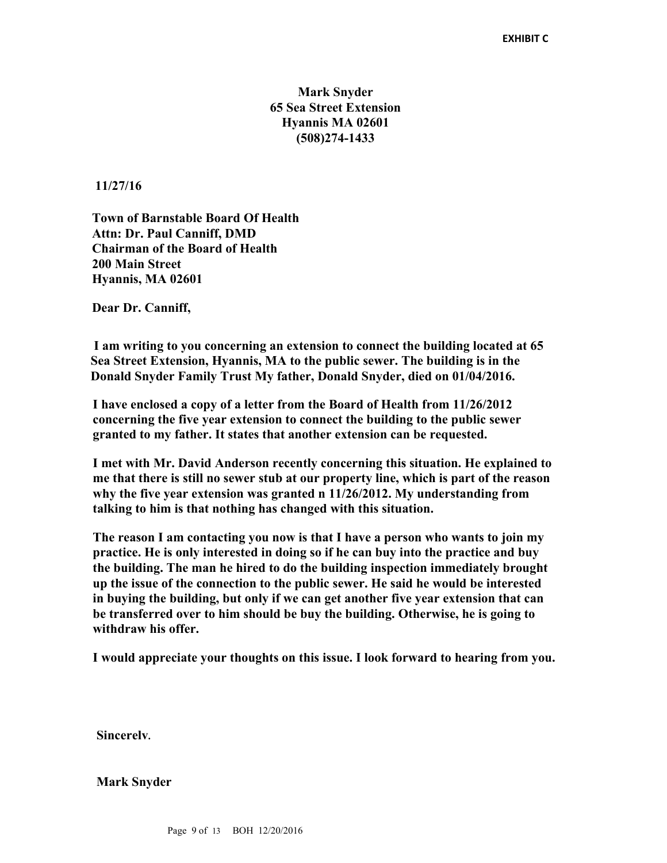#### **Mark Snyder 65 Sea Street Extension Hyannis MA 02601 (508)274-1433**

**11/27/16** 

**Town of Barnstable Board Of Health Attn: Dr. Paul Canniff, DMD Chairman of the Board of Health 200 Main Street Hyannis, MA 02601** 

**Dear Dr. Canniff,** 

 **I am writing to you concerning an extension to connect the building located at 65 Sea Street Extension, Hyannis, MA to the public sewer. The building is in the Donald Snyder Family Trust My father, Donald Snyder, died on 01/04/2016.** 

**I have enclosed a copy of a letter from the Board of Health from 11/26/2012 concerning the five year extension to connect the building to the public sewer granted to my father. It states that another extension can be requested.** 

**I met with Mr. David Anderson recently concerning this situation. He explained to me that there is still no sewer stub at our property line, which is part of the reason why the five year extension was granted n 11/26/2012. My understanding from talking to him is that nothing has changed with this situation.**

**The reason I am contacting you now is that I have a person who wants to join my practice. He is only interested in doing so if he can buy into the practice and buy the building. The man he hired to do the building inspection immediately brought up the issue of the connection to the public sewer. He said he would be interested in buying the building, but only if we can get another five year extension that can be transferred over to him should be buy the building. Otherwise, he is going to withdraw his offer.** 

**I would appreciate your thoughts on this issue. I look forward to hearing from you.** 

**Sincerelv.** 

**Mark Snyder**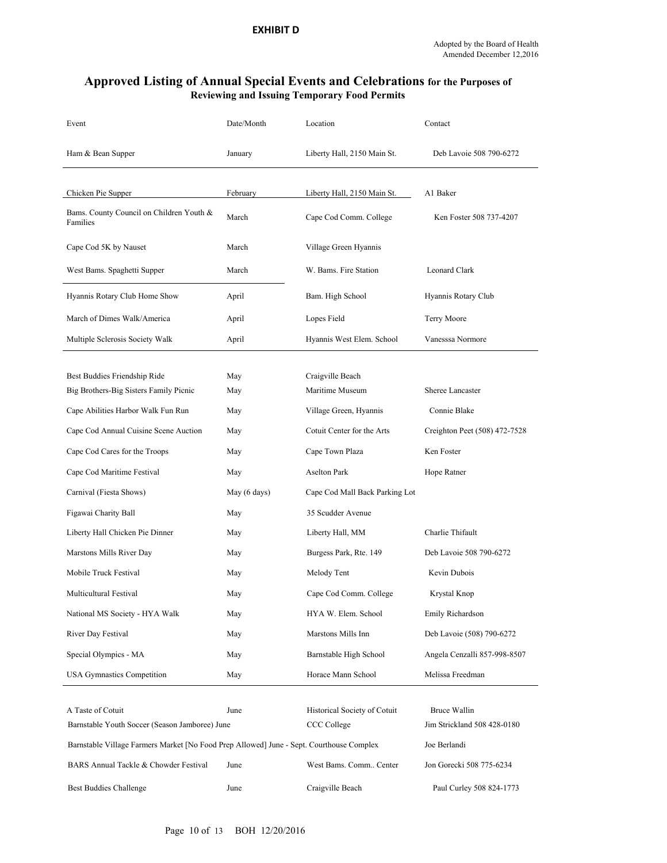#### **Approved Listing of Annual Special Events and Celebrations for the Purposes of Reviewing and Issuing Temporary Food Permits**

| Event                                                                                    | Date/Month   | Location                       | Contact                       |
|------------------------------------------------------------------------------------------|--------------|--------------------------------|-------------------------------|
| Ham & Bean Supper                                                                        | January      | Liberty Hall, 2150 Main St.    | Deb Lavoie 508 790-6272       |
|                                                                                          |              |                                |                               |
| Chicken Pie Supper                                                                       | February     | Liberty Hall, 2150 Main St.    | A1 Baker                      |
| Bams. County Council on Children Youth &<br>Families                                     | March        | Cape Cod Comm. College         | Ken Foster 508 737-4207       |
| Cape Cod 5K by Nauset                                                                    | March        | Village Green Hyannis          |                               |
| West Bams. Spaghetti Supper                                                              | March        | W. Bams. Fire Station          | Leonard Clark                 |
| Hyannis Rotary Club Home Show                                                            | April        | Bam. High School               | Hyannis Rotary Club           |
| March of Dimes Walk/America                                                              | April        | Lopes Field                    | Terry Moore                   |
| Multiple Sclerosis Society Walk                                                          | April        | Hyannis West Elem. School      | Vanesssa Normore              |
|                                                                                          |              |                                |                               |
| Best Buddies Friendship Ride                                                             | May          | Craigville Beach               |                               |
| Big Brothers-Big Sisters Family Picnic                                                   | May          | Maritime Museum                | Sheree Lancaster              |
| Cape Abilities Harbor Walk Fun Run                                                       | May          | Village Green, Hyannis         | Connie Blake                  |
| Cape Cod Annual Cuisine Scene Auction                                                    | May          | Cotuit Center for the Arts     | Creighton Peet (508) 472-7528 |
| Cape Cod Cares for the Troops                                                            | May          | Cape Town Plaza                | Ken Foster                    |
| Cape Cod Maritime Festival                                                               | May          | Aselton Park                   | Hope Ratner                   |
| Carnival (Fiesta Shows)                                                                  | May (6 days) | Cape Cod Mall Back Parking Lot |                               |
| Figawai Charity Ball                                                                     | May          | 35 Scudder Avenue              |                               |
| Liberty Hall Chicken Pie Dinner                                                          | May          | Liberty Hall, MM               | Charlie Thifault              |
| Marstons Mills River Day                                                                 | May          | Burgess Park, Rte. 149         | Deb Lavoie 508 790-6272       |
| Mobile Truck Festival                                                                    | May          | Melody Tent                    | Kevin Dubois                  |
| Multicultural Festival                                                                   | May          | Cape Cod Comm. College         | Krystal Knop                  |
| National MS Society - HYA Walk                                                           | May          | HYA W. Elem. School            | Emily Richardson              |
| River Day Festival                                                                       | May          | Marstons Mills Inn             | Deb Lavoie (508) 790-6272     |
| Special Olympics - MA                                                                    | May          | Barnstable High School         | Angela Cenzalli 857-998-8507  |
| USA Gymnastics Competition                                                               | May          | Horace Mann School             | Melissa Freedman              |
|                                                                                          |              |                                |                               |
| A Taste of Cotuit                                                                        | June         | Historical Society of Cotuit   | Bruce Wallin                  |
| Barnstable Youth Soccer (Season Jamboree) June                                           |              | CCC College                    | Jim Strickland 508 428-0180   |
| Barnstable Village Farmers Market [No Food Prep Allowed] June - Sept. Courthouse Complex |              |                                | Joe Berlandi                  |
| BARS Annual Tackle & Chowder Festival                                                    | June         | West Bams. Comm Center         | Jon Gorecki 508 775-6234      |
| Best Buddies Challenge                                                                   | June         | Craigville Beach               | Paul Curley 508 824-1773      |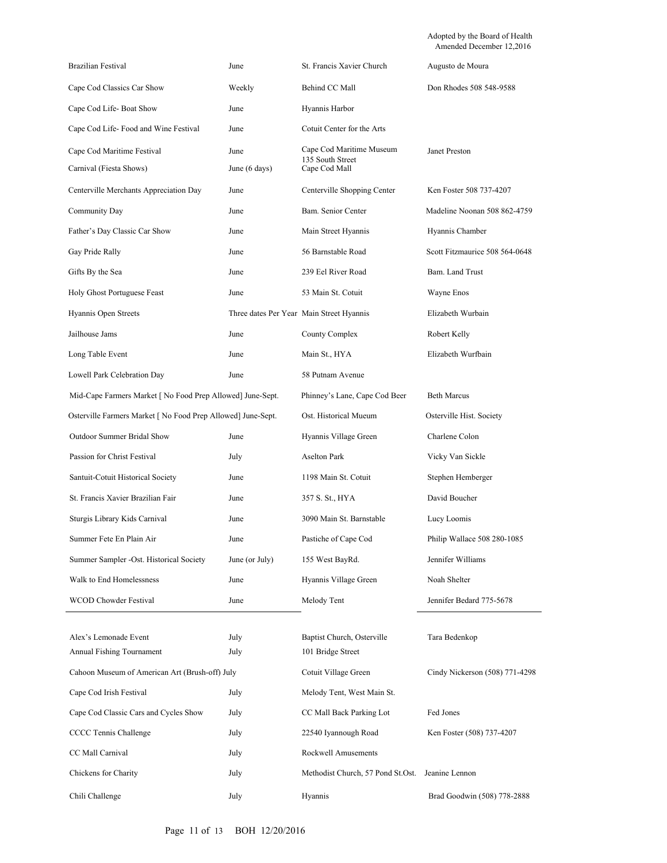Adopted by the Board of Health Amended December 12,2016

| Brazilian Festival                                           | June                  | St. Francis Xavier Church                                     | Augusto de Moura               |
|--------------------------------------------------------------|-----------------------|---------------------------------------------------------------|--------------------------------|
| Cape Cod Classics Car Show                                   | Weekly                | Behind CC Mall                                                | Don Rhodes 508 548-9588        |
| Cape Cod Life-Boat Show                                      | June                  | Hyannis Harbor                                                |                                |
| Cape Cod Life-Food and Wine Festival                         | June                  | Cotuit Center for the Arts                                    |                                |
| Cape Cod Maritime Festival<br>Carnival (Fiesta Shows)        | June<br>June (6 days) | Cape Cod Maritime Museum<br>135 South Street<br>Cape Cod Mall | Janet Preston                  |
| Centerville Merchants Appreciation Day                       | June                  | Centerville Shopping Center                                   | Ken Foster 508 737-4207        |
| Community Day                                                | June                  | Bam. Senior Center                                            | Madeline Noonan 508 862-4759   |
| Father's Day Classic Car Show                                | June                  | Main Street Hyannis                                           | Hyannis Chamber                |
| Gay Pride Rally                                              | June                  | 56 Barnstable Road                                            | Scott Fitzmaurice 508 564-0648 |
| Gifts By the Sea                                             | June                  | 239 Eel River Road                                            | Bam. Land Trust                |
| Holy Ghost Portuguese Feast                                  | June                  | 53 Main St. Cotuit                                            | Wayne Enos                     |
| Hyannis Open Streets                                         |                       | Three dates Per Year Main Street Hyannis                      | Elizabeth Wurbain              |
| Jailhouse Jams                                               | June                  | County Complex                                                | Robert Kelly                   |
| Long Table Event                                             | June                  | Main St., HYA                                                 | Elizabeth Wurfbain             |
| Lowell Park Celebration Day                                  | June                  | 58 Putnam Avenue                                              |                                |
| Mid-Cape Farmers Market [ No Food Prep Allowed] June-Sept.   |                       | Phinney's Lane, Cape Cod Beer                                 | <b>Beth Marcus</b>             |
| Osterville Farmers Market [ No Food Prep Allowed] June-Sept. |                       | Ost. Historical Mueum                                         | Osterville Hist. Society       |
| Outdoor Summer Bridal Show                                   | June                  | Hyannis Village Green                                         | Charlene Colon                 |
| Passion for Christ Festival                                  | July                  | Aselton Park                                                  | Vicky Van Sickle               |
| Santuit-Cotuit Historical Society                            | June                  | 1198 Main St. Cotuit                                          | Stephen Hemberger              |
| St. Francis Xavier Brazilian Fair                            | June                  | 357 S. St., HYA                                               | David Boucher                  |
| Sturgis Library Kids Carnival                                | June                  | 3090 Main St. Barnstable                                      | Lucy Loomis                    |
| Summer Fete En Plain Air                                     | June                  | Pastiche of Cape Cod                                          | Philip Wallace 508 280-1085    |
| Summer Sampler -Ost. Historical Society                      | June (or July)        | 155 West BayRd.                                               | Jennifer Williams              |
| Walk to End Homelessness                                     | June                  | Hyannis Village Green                                         | Noah Shelter                   |
| WCOD Chowder Festival                                        | June                  | Melody Tent                                                   | Jennifer Bedard 775-5678       |
|                                                              |                       |                                                               |                                |
| Alex's Lemonade Event<br>Annual Fishing Tournament           | July<br>July          | Baptist Church, Osterville<br>101 Bridge Street               | Tara Bedenkop                  |
| Cahoon Museum of American Art (Brush-off) July               |                       | Cotuit Village Green                                          | Cindy Nickerson (508) 771-4298 |
| Cape Cod Irish Festival                                      | July                  | Melody Tent, West Main St.                                    |                                |
| Cape Cod Classic Cars and Cycles Show                        | July                  | CC Mall Back Parking Lot                                      | Fed Jones                      |
| CCCC Tennis Challenge                                        | July                  | 22540 Iyannough Road                                          | Ken Foster (508) 737-4207      |
| CC Mall Carnival                                             | July                  | Rockwell Amusements                                           |                                |
| Chickens for Charity                                         | July                  | Methodist Church, 57 Pond St.Ost.                             | Jeanine Lennon                 |
| Chili Challenge                                              | July                  | Hyannis                                                       | Brad Goodwin (508) 778-2888    |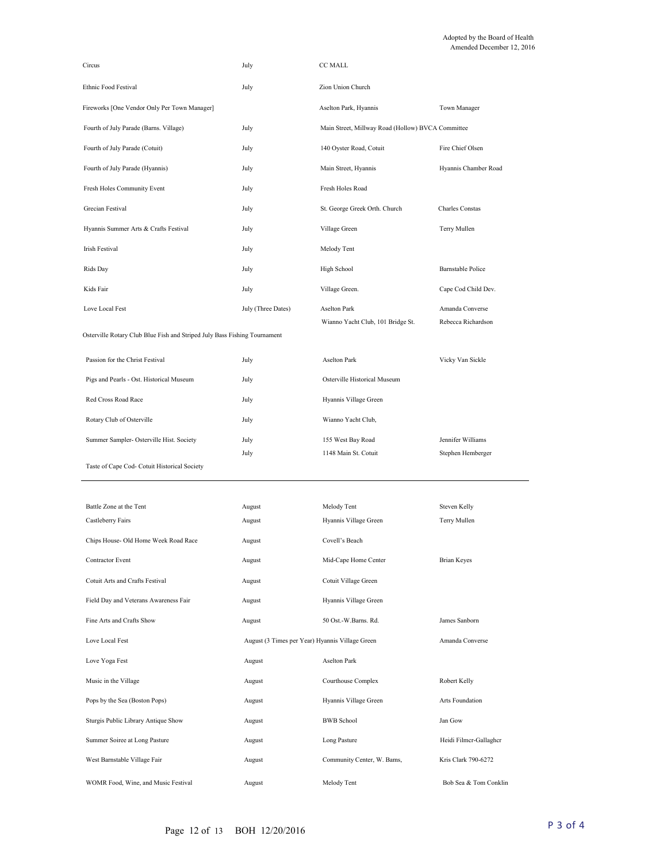| Circus                                                                    | July                                            | <b>CC MALL</b>                                    |                          |
|---------------------------------------------------------------------------|-------------------------------------------------|---------------------------------------------------|--------------------------|
| Ethnic Food Festival                                                      | July                                            | Zion Union Church                                 |                          |
| Fireworks [One Vendor Only Per Town Manager]                              |                                                 | Aselton Park, Hyannis                             | Town Manager             |
| Fourth of July Parade (Barns. Village)                                    | July                                            | Main Street, Millway Road (Hollow) BVCA Committee |                          |
| Fourth of July Parade (Cotuit)                                            | July                                            | 140 Oyster Road, Cotuit                           | Fire Chief Olsen         |
| Fourth of July Parade (Hyannis)                                           | July                                            | Main Street, Hyannis                              | Hyannis Chamber Road     |
| Fresh Holes Community Event                                               | July                                            | Fresh Holes Road                                  |                          |
| Grecian Festival                                                          | July                                            | St. George Greek Orth. Church                     | <b>Charles Constas</b>   |
| Hyannis Summer Arts & Crafts Festival                                     | July                                            | Village Green                                     | Terry Mullen             |
| <b>Irish Festival</b>                                                     | July                                            | Melody Tent                                       |                          |
| Rids Day                                                                  | July                                            | High School                                       | <b>Barnstable Police</b> |
| Kids Fair                                                                 | July                                            | Village Green.                                    | Cape Cod Child Dev.      |
| Love Local Fest                                                           | July (Three Dates)                              | Aselton Park                                      | Amanda Converse          |
| Osterville Rotary Club Blue Fish and Striped July Bass Fishing Tournament |                                                 | Wianno Yacht Club, 101 Bridge St.                 | Rebecca Richardson       |
| Passion for the Christ Festival                                           | July                                            | <b>Aselton Park</b>                               | Vicky Van Sickle         |
| Pigs and Pearls - Ost. Historical Museum                                  | July                                            | Osterville Historical Museum                      |                          |
| Red Cross Road Race                                                       | July                                            | Hyannis Village Green                             |                          |
| Rotary Club of Osterville                                                 | July                                            | Wianno Yacht Club,                                |                          |
| Summer Sampler- Osterville Hist. Society                                  | July                                            | 155 West Bay Road                                 | Jennifer Williams        |
| Taste of Cape Cod- Cotuit Historical Society                              | July                                            | 1148 Main St. Cotuit                              | Stephen Hemberger        |
|                                                                           |                                                 |                                                   |                          |
| Battle Zone at the Tent                                                   | August                                          | Melody Tent                                       | Steven Kelly             |
| Castleberry Fairs                                                         | August                                          | Hyannis Village Green                             | Terry Mullen             |
| Chips House- Old Home Week Road Race                                      | August                                          | Covell's Beach                                    |                          |
| Contractor Event                                                          | August                                          | Mid-Cape Home Center                              | Brian Keyes              |
| Cotuit Arts and Crafts Festival                                           | August                                          | Cotuit Village Green                              |                          |
| Field Day and Veterans Awareness Fair                                     | August                                          | Hyannis Village Green                             |                          |
| Fine Arts and Crafts Show                                                 | August                                          | 50 Ost.-W.Barns. Rd.                              | James Sanborn            |
| Love Local Fest                                                           | August (3 Times per Year) Hyannis Village Green |                                                   | Amanda Converse          |
| Love Yoga Fest                                                            | August                                          | <b>Aselton Park</b>                               |                          |
| Music in the Village                                                      | August                                          | Courthouse Complex                                | Robert Kelly             |
| Pops by the Sea (Boston Pops)                                             | August                                          | Hyannis Village Green                             | Arts Foundation          |
| Sturgis Public Library Antique Show                                       | August                                          | <b>BWB</b> School                                 | Jan Gow                  |
| Summer Soiree at Long Pasture                                             | August                                          | Long Pasture                                      | Heidi Filmcr-Gallaghcr   |
| West Barnstable Village Fair                                              | August                                          | Community Center, W. Bams,                        | Kris Clark 790-6272      |
| WOMR Food, Wine, and Music Festival                                       | August                                          | Melody Tent                                       | Bob Sea & Tom Conklin    |